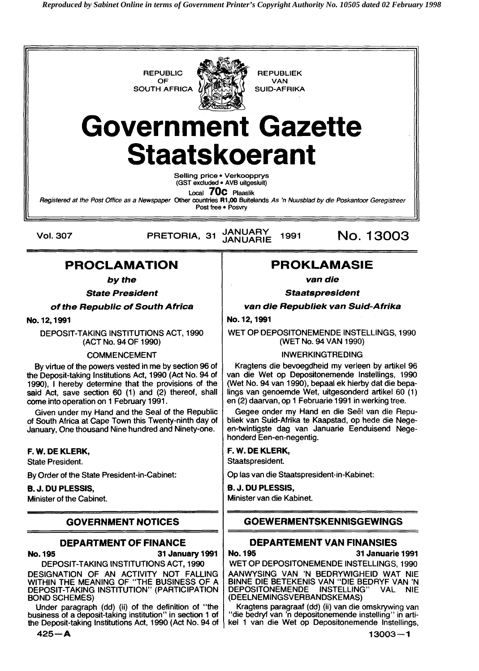**REPUBLIC REPUBLIEK**<br>OF **REPUBLIC** CAN **SOUTH AFRICA** 



**VAN<br>SUID-AFRIKA** 

# **Government Gazette Staatskoerant**

**Selling price Verkoopprys (GST excluded AVB uitgeskrit)** 

**Local 70C Plaaslik** 

**Registered at the Post Office as a Newspaper Other countries R1 ,W Buitelands As 'n Nuusblad by die Poskantoor Geregistreer**  Post free . Posvry

**Vol. 307** 

**JANUARY** PRETORIA, 31 1991 **JANUARIE** 

No. 13003

# **PROCLAMATION**

**by the** 

**State President** 

**of the Republic of South Africa** 

**No. 12,1991** 

DEPOSIT-TAKING INSTITUTIONS ACT, 1990 (ACT No. 94 OF 1990)

#### COMMENCEMENT

By virtue of the powers vested in me by section 96 of the Deposit-taking Institutions Act, 1990 (Act No. 94 of 1990), 1 hereby determine that the provisions of the said Act, save section 60 (1) and (2) thereof, shall come into operation on 1 February 1991.

Given under my Hand and the Seal of the Republic of South Africa at Cape Town this Twenty-ninth day of January, One thousand Nine hundred and Ninety-one.

#### **F. W. DE KLERK,**

State President.

By Order of the State President-in-Cabinet:

#### **8. J. DU PLESSIS,**

Minister of the Cabinet.

# **GOVERNMENT NOTICES**

### **DEPARTMENT OF FINANCE**

**No. 195 31 January 1991**  DEPOSIT-TAKING INSTITUTIONS ACT, 1990

DESIGNATION OF AN ACTIVITY NOT FALLING WITHIN THE MEANING OF "THE BUSINESS OF A DEPOSIT-TAKING INSTITUTION" (PARTICIPATION BOND SCHEMES)

Under paragraph (dd) (ii) of the definition of "the business of a deposit-taking institution" in section 1 of the Deposit-taking Institutions Act, 1990 (Act No. 94 of

**425-A** 

# **PROKLAMASIE**

**van die** 

**Staatspresident** 

**van die Republiek van Suid-Afrika** 

#### **No. 12,1991**

WET OP DEPOSITONEMENDE INSTELLINGS, 1990 (WET No. 94 VAN 1990)

#### INWERKINGTREDING

Kragtens die bevoegdheid my verleen by artikel 96 van die Wet op Depositonemende Instellings, 1990 (Wet No. 94 van 1990), bepaal ek hierby dat die bepalings van genoemde Wet, uitgesonderd artikel 60 (1) en (2) daarvan, op 1 Februarie 1991 in werking tree.

Gegee onder my Hand en die Seel van die Republiek van Suid-Afrika te Kaapstad, op hede die Negeen-twintigste dag van Januarie Eenduisend Negehonderd Een-en-negentig.

### **F. W. DE KLERK,**

Staatspresident.

Op las van die Staatspresident-in-Kabinet:

**6. J. DU PLESSIS,** 

Minister van die Kabinet.

# **GOEWERMENTSKENNISGEWINGS**

### **DEPARTEMENT VAN FlNANSlES**

**No. 195 31 Januarie 1991** 

WET OP DEPOSITONEMENDE INSTELLINGS, 1990 AANWYSING VAN 'N BEDRYWIGHEID WAT NIE BlNNE DIE BETEKENIS VAN "DIE BEDRYF VAN 'N DEPOSITONEMENDE INSTELLING" VAL NIE (DEELNEMINGSVERBANDSKEMAS)

Kragtens paragraaf (dd) (ii) van die omskrywing van "die bedryf van 'n depositonemende instelling" in artikel 1 van die Wet op Depositonemende Instellings,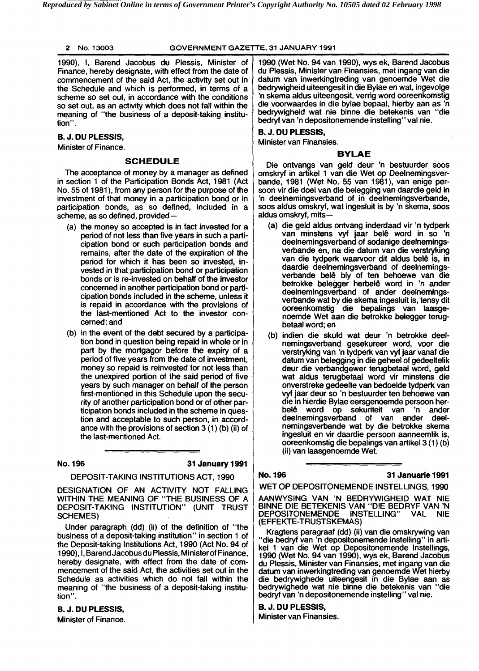#### 2 No. 13003 **GOVERNMENT GAZETTE.** 31 **JANUARY** 1991

1990), 1, Barend Jacobus du Plessis, Minister of Finance, hereby designate, with effect from the date of commencement of the said Act, the activity set out in the Schedule and which is performed, in terms of a scheme so set out, in accordance with the conditions so set out, as an activity which does not fall within the meaning of "the business of a deposit-taking institution''.

#### **B. J. DU PLESSIS,**

Minister of Finance.

#### **SCHEDULE**

The acceptance of money by a manager as defined in section 1 of the Participation Bonds Act, 1981 (Act No. 55 of 1981), from any person for the purpose of the investment of that money in a participation bond or in participation bonds, as so defined, included in a scheme, as so defined, provided-

- (a) the money so accepted is in fact invested for a period of not less than five years in such a participation bond or such participation bonds and remains, after the date of the expiration of the period for which it has been so invested, invested in that participation bond or participation bonds or is re-invested on behalf of the investor concerned in another participation bond or participation bonds included in the scheme, unless it is repaid in accordance with the provisions of the last-mentioned Act to the investor concerned; and
- (b) in the event of the debt secured by a participation bond in question being repaid in whole or in part by the mortgagor before the expiry of a period of five years from the date of investment, money so repaid is reinvested for not less than the unexpired portion of the said period of five years by such manager on behalf of the person first-mentioned in this Schedule upon the security of another participation bond or of other participation bonds included in the scheme in question and acceptable to such person, in accordance with the provisions of section 3 (1) (b) (ii) of the last-mentioned Act.

**No. 196 31 Januaty 1991** 

DEPOSIT-TAKING INSTITUTIONS ACT, 1990

DESIGNATION OF AN ACTIVITY NOT FALLING WITHIN THE MEANING OF "THE BUSINESS OF A DEPOSIT-TAKING INSTITUTION" (UNIT TRUST SCHEMES)

Under paragraph (dd) (ii) of the definition of "the business of a deposit-taking institution" in section 1 of the Deposit-taking Institutions Act, 1990 (Act No. 94 of 1990), 1, Barend Jacobusdu Plessis, Minister of Finance, hereby designate, with effect from the date of commencement of the said Act, the activities set out in the Schedule as activities which do not fall within the meaning of "the business of a deposit-taking institution".

**B. J. DU PLESSIS,**  Minister of Finance.

- 1990 (Wet No. 94 van 1990), wys ek, Barend Jacobus du Plessis, Minister van Finansies, met ingang van die datum van inwerkingtreding van genoemde Wet die bedrywigheid uiteengesit in die Bylae en wat, ingevolge 'n skema aldus uiteengesit, verrig word ooreenkomstig die voorwaardes in die bylae bepaal, hierby aan as 'n bedrywigheid wat nie binne die betekenis van "die bedryf van 'n depositonemende instelling" val nie.

### **B. J. DU PLESSIS,**

Minister van Finansies.

#### **BYLAE**

Die ontvangs van geld deur 'n bestuurder soos omskryf in artikel 1 van die Wet op Deelnemingsverbande, 1981 (Wet No. 55 van 1981 ), van enige persoon vir die doel van die belegging van daardie geld in 'n deelnemingsverband of in deelnemingsverbande, soos aldus omskryf, wat ingesluit is by 'n skema, soos aldus omskryf, mits-

- (a) die geld aldus ontvang inderdaad vir 'n tydperk van minstens vyf jaar belê word in so 'n deelnemingsverband of sodanige deelnemingsverbande en, na die datum van die verstryking van die tydperk waarvoor dit aldus belê is, in daardie deelnemingsverband of deelnemingsverbande be14 bly of ten behoewe van die betrokke belegger herbelê word in 'n ander deelnemingsverband of ander deelnemingsverbande wat by die skema ingesluit is, tensy dit ooreenkomstig die bepalings van laasgenoemde Wet aan die betrokke belegger terugbetaal word; en
- (b) indien die skuld wat deur 'n betrokke deelnemingsverband gesekureer word, voor die verstryking van 'n tydperk van vyf jaar vanaf die datum van belegging in die geheel of gedeeltelik deur die verbandgewer terugbetaal word, geld wat aldus terugbetaal word vir minstens die onverstreke gedeelte van bedoelde tydperk van vyf jaar deur so 'n bestuurder ten behoewe van die in hierdie Bylae eersgenoemde persoon her-<br>belê word op sekuriteit van 'n ander word op sekuriteit van 'n ander<br>emingsverband of van ander deeldeelnemingsverband of van ander nemingsverbande wat by die betrokke skema ingesluit en vir daardie persoon aanneemlik is, ooreenkomstig die bepalings van artikel3 (1) (b) (ii) van laasgenoemde Wet.

#### **No. 196 31 Januarie 1991**

WET OP DEPOSITONEMENDE INSTELLINGS, 1990

AANWYSING VAN 'N BEDRYWIGHEID WAT NIE BlNNE DIE BETEKENIS VAN "DIE BEDRYF VAN 'N DEPOSITONEMENDE INSTELLING" VAL NIE (EFFEKTE-TRUSTSKEMAS)

Kragtens paragraaf (dd) (ii) van die omskrywing van "die bedryf van 'n depositonemende instelling" in artikel 1 van die Wet op Depositonemende Instellings, 1990 (Wet No. 94 van 1990), wys ek, Barend Jacobus du Plessis, Minister van Finansies, met ingang van die datum van inwerkingtreding van genoemde Wet hierby die bedrywighede uiteengesit in die Bylae aan as<br>bedrywighede wat nie binne die betekenis van ''die bedrywighede wat nie binne die betekenis van bedryf van 'n depositonemende instelling" val nie.

#### **B. J. DU PLESSIS,**

Minister van Finansies.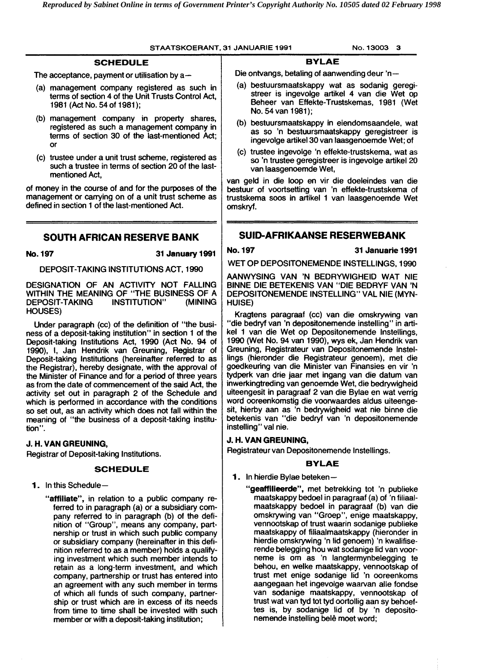#### **STAATSKOERANT.** 31 **JANUARIE** 1991 **No.** 13003 **3**

#### **SCHEDULE**

The acceptance, payment or utilisation by  $a$ -

- (a) management company registered as such in terms of section 4 of the Unit Trusts Control Act, 1981 (Act No. 54 of 1981 );
- (b) management company in property shares, registered as such a management company in terms of section 30 of the last-mentioned Act; or
- (c) trustee under a unit trust scheme, registered as such a trustee in terms of section 20 of the lastmentioned Act,

of money in the course of and for the purposes of the management or carrying on of a unit trust scheme as defined in section 1 of the last-mentioned Act.

### **SOUTH AFRICAN RESERVE BANK**

**No. 197 31 January 1991** 

#### DEPOSIT-TAKING INSTITUTIONS ACT, 1990

DESIGNATION OF AN ACTIVITY NOT FALLING WITHIN THE MEANING OF "THE BUSINESS OF A<br>DEPOSIT-TAKING INSTITUTION" (MINING DEPOSIT-TAKING HOUSES)

Under paragraph (cc) of the definition of "the business of a deposit-taking institution" in section 1 of the Deposit-taking lnstitutions Act, 1990 (Act No. 94 of 1990), 1, Jan Hendrik van Greuning, Registrar of Deposit-taking Institutions (hereinafter referred to as the Registrar), hereby designate, with the approval of the Minister of Finance and for a period of three years as from the date of commencement of the said Act, the activity set out in paragraph 2 of the Schedule and which is performed in accordance with the conditions so set out, as an activity which does not fall within the meaning of "the business of a deposit-taking institution ".

#### **J. H. VAN GREUNING,**

Registrar of Deposit-taking Institutions.

#### **SCHEDULE**

1. In this Schedule-

**"affiliate",** in relation to a public company referred to in paragraph (a) or a subsidiary company referred to in paragraph (b) of the definition of "Group", means any company, partnership or trust in which such public company or subsidiary company (hereinafter in this definition referred to as a member) holds a qualifying investment which such member intends to retain as a long-term investment, and which company, partnership or trust has entered into an agreement with any such member in terms of which all funds of such company, partnership or trust which are in excess of its needs from time to time shall be invested with such member or with a deposit-taking institution;

#### **BYLAE**

Die ontvangs, betaling of aanwending deur 'n $-$ 

- (a) bestuursmaatskappy wat as sodanig geregistreer is ingevolge artikel 4 van die Wet op Beheer van Effekte-Trustskemas, 1981 (Wet No. 54 van 1981);
- (b) bestuursmaatskappy in eiendomsaandele, wat as so 'n bestuursmaatskappy geregistreer is ingevolge artikel30 van laasgenoemde Wet; of
- (c) trustee ingevolge 'n effekte-trustskema, wat as so 'n trustee geregistreer is ingevolge artikel 20 van laasgenoemde Wet,

van geld in die loop en vir die doeleindes van die bestuur of voortsetting van 'n effekte-trustskema of trustskema soos in artikel 1 van laasgenoemde Wet omskryf.

#### **SUID-AFRIKAANSE RESERWEBANK**

**No. 197 31 Januarie 1991** 

WET OP DEPOSITONEMENDE INSTELLINGS, 1990

AANWYSING VAN 'N BEDRYWIGHEID WAT NIE BlNNE DIE BETEKENIS VAN "DIE BEDRYF VAN 'N DEPOSITONEMENDE INSTELLING" VAL NIE (MYN-HUISE)

Kragtens paragraaf (cc) van die omskrywing van "die bedryf van 'n depositonemende instelling" in artikel 1 van die Wet op Depositonemende Instellings, 1990 (Wet No. 94 van 1990), wys ek, Jan Hendrik van Greuning, Registrateur van Depositonemende Instellings (hieronder die Registrateur genoem), met die goedkeuring van die Minister van Finansies en vir 'n tydperk van drie jaar met ingang van die datum van inwerkingtreding van genoemde Wet, die bedrywigheid uiteengesit in paragraaf 2 van die Bylae en wat verrig word ooreenkomstig die voorwaardes aldus uiteengesit, hierby aan as 'n bedrywigheid wat nie binne die betekenis van "die bedryf van 'n depositonemende instelling" val nie.

#### **J. H. VAN GREUNING,**

Registrateur van Depositonemende Instellings.

#### **BYLAE**

- 1. In hierdie Bylae beteken-
	- **"geaffilieerde",** met betrekking tot 'n publieke maatskappy bedoel in paragraaf (a) of 'n filiaalmaatskappy bedoel in paragraaf (b) van die omskrywing van "Groep", enige maatskappy, vennootskap of trust waarin sodanige publieke maatskappy of filiaalmaatskappy (hieronder in hierdie omskrywing 'n lid genoem) 'n kwalifiserende belegging hou wat sodanige lid van voorneme is om as 'n langtermynbelegging te behou, en welke maatskappy, vennootskap of trust met enige sodanige lid 'n ooreenkoms aangegaan het ingevolge waarvan alle fondse van sodanige maatskappy, vennootskap of trust wat van tyd tot tyd oortollig aan sy behoeftes is, by sodanige lid of by 'n depositonemende instelling belê moet word;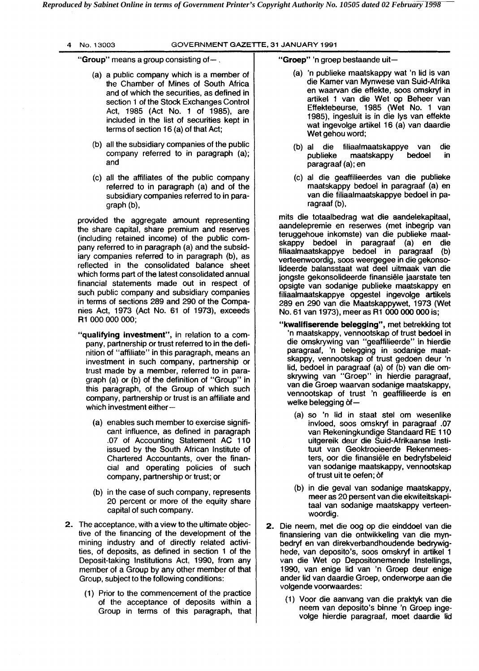| 4 |  | No. 13003 |
|---|--|-----------|
|---|--|-----------|

#### 4 No. 13003 GOVERNMENT GAZETTE. **31** JANUARY **1991**

"Group" means a group consisting of $-$ .

- (a) a public company which is a member of the Chamber of Mines of South Africa and of which the securities, as defined in section 1 of the Stock Exchanges Control Act, 1985 (Act No. 1 of 1985), are included in the list of securities kept in terms of section 16 (a) of that Act;
- (b) all the subsidiary companies of the public company referred to in paragraph (a); and
- (c) all the affiliates of the public company referred to in paragraph (a) and of the subsidiary companies referred to in paragraph (b),

provided the aggregate amount representing the share capital, share premium and reserves (including retained income) of the public company referred to in paragraph (a) and the subsidiary companies referred to in paragraph (b), as reflected in the consolidated balance sheet which forms part of the latest consolidated annual financial statements made out in respect of such public company and subsidiary companies in terms of sections 289 and 290 of the Companies Act, 1973 (Act No. 61 of 1973), exceeds R1 000 000 000;

- "qualifying investment", in relation to a company, partnership or trust referred to in the definition of "affiliate" in this paragraph, means an investment in such company, partnership or trust made by a member, referred to in paragraph (a) or (b) of the definition of "Group" in this paragraph, of the Group of which such company, partnership or trust is an affiliate and which investment either $-$ 
	- (a) enables such member to exercise significant influence, as defined in paragraph .07 of Accounting Statement AC 110 issued by the South African Institute of Chartered Accountants, over the financial and operating policies of such company, partnership or trust; or
	- (b) in the case of such company, represents 20 percent or more of the equity share capital of such company.
- **2.** The acceptance, with a view to the ultimate objective of the financing of the development of the mining industry and of directly related activities, of deposits, as defined in section 1 of the Deposit-taking Institutions Act, 1990, from any member of a Group by any other member of that Group, subject to the following conditions:
	- (1) Prior to the commencement of the practice of the acceptance of deposits within a Group in terms of this paragraph, that

"Groep" 'n groep bestaande uit-

- (a) 'n publieke maatskappy wat 'n lid is van die Kamer van Mynwese van Suid-Afrika en waarvan die effekte, soos omskryf in artikel 1 van die Wet op Beheer van Effektebeurse, 1985 (Wet No. 1 van 1985), ingesluit is in die lys van effekte wat ingevolge artikel 16 (a) van daardie Wet gehou word;
- (b) al die filiaalmaatskappye van die maatskappy paragraaf (a); en
- (c) al die geaffilieerdes van die publieke maatskappy bedoel in paragraaf (a) en van die filiaalmaatskappye bedoel in paragraaf (b),

mits die totaalbedrag wat die aandelekapitaal, aandelepremie en reserwes (met inbegrip van teruggehoue inkomste) van die publieke maatskappy bedoel in paragraaf (a) en die filiaalmaatskappye bedoel in paragraaf (b) verteenwoordig, soos weergegee in die gekonsolideerde balansstaat wat deel uitmaak van die jongste gekonsolideerde finansiele jaarstate ten opsigte van sodanige publieke maatskappy en filiaalmaatskappye opgestel ingevolge artikels 289 en 290 van die Maatskappywet, 1973 (Wet No. 61 van 1973), meer as R1 000 000 000 is;

- "kwalifiserende belegging", met betrekking tot 'n maatskappy, vennootskap of trust bedoel in die omskrywing van "geaffilieerde" in hierdie paragraaf, 'n belegging in sodanige maatskappy, vennootskap of trust gedoen deur 'n lid, bedoel in paragraaf (a) of (b) van die omskrywing van "Groep" in hierdie paragraaf, van die Groep waarvan sodanige maatskappy, vennootskap of trust 'n geaffilieerde is en welke belegging of-
	- (a) so 'n lid in staat stel om wesenlike invloed, soos omskryf in paragraaf .07 van Rekeningkundige Standaard RE 110 uitgereik deur die Suid-Afrikaanse Instituut van Geoktrooieerde Rekenmeesters, oor die finansiele en bedryfsbeleid van sodanige maatskappy, vennootskap of trust uit te oefen; of
	- (b) in die geval van sodanige maatskappy, meer as 20 persent van die ekwiteitskapitaal van sodanige maatskappy verteenwoordig.
- **2.** Die neem, met die oog op die einddoel van die finansiering van die ontwikkeling van die mynbedryf en van direkverbandhoudende bedrywighede, van deposito's, soos omskryf in artikel 1 van die Wet op Depositonemende Instellings, 1990, van enige lid van 'n Groep deur enige ander lid van daardie Groep, onderworpe aan die volgende voorwaardes:
	- (1) Voor die aanvang van die praktyk van die neem van deposito's binne 'n Groep ingevolge hierdie paragraaf, moet daardie lid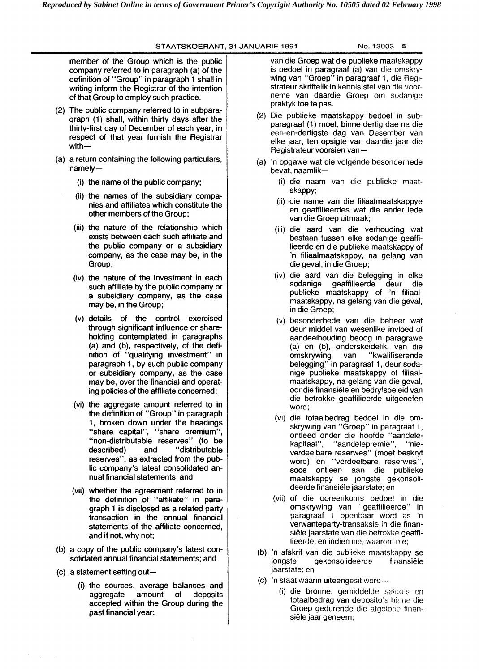#### **STAATSKOERANT, 31 JANUARIE 1991 No. 13003 5**

member of the Group which is the public company referred to in paragraph (a) of the definition of "Group" in paragraph 1 shall in writing inform the Registrar of the intention of that Group to employ such practice.

- (2) The public company referred to in subparagraph (1) shall, within thirty days after the thirty-first day of December of each year, in respect of that year furnish the Registrar with-
- (a) a return containing the following particulars, namely-
	- (i) the name of the public company;
	- (ii) the names of the subsidiary companies and affiliates which constitute the other members of the Group;
	- (iii) the nature of the relationship which exists between each such affiliate and the public company or a subsidiary company, as the case may be, in the Group;
	- (iv) the nature of the investment in each such affiliate by the public company or a subsidiary company, as the case may be, in the Group;
	- (v) details of the control exercised through significant influence or shareholding contemplated in paragraphs (a) and (b), respectively, of the definition of "qualifying investment" in paragraph 1, by such public company or subsidiary company, as the case may be, over the financial and operating policies of the affiliate concerned;
	- (vi) the aggregate amount referred to in the definition of "Group" in paragraph 1, broken down under the headings "share capital", "share premium", "non-distributable reserves" (to be described) and "distributable reserves", as extracted from the public company's latest consolidated annual financial statements; and
	- (vii) whether the agreement referred to in the definition of "affiliate" in paragraph 1 is disclosed as a related party transaction in the annual financial statements of the affiliate concerned, and if not, why not;
- (b) a copy of the public company's latest consolidated annual financial statements; and
- $(c)$  a statement setting out-
	- (i) the sources, average balances and aggregate amount of deposits accepted within the Group during the past financial year;

van die Groep wat die publieke maatskappy is bedoel in paragraaf (a) van die omskrywing van "Groep" in paragraaf 1, die Registrateur skriftelik in kennis stel van die voorneme van daardie Groep om sodanige praktyk toe te pas.

- (2) Die publieke maatskappy bedoel in subparagraaf (1) moet, binne dertig dae na die een-en-dertigste dag van Desember van eke jaar, ten opsigte van daardie jaar die Registrateur voorsien van -
- (a) 'n opgawe wat die volgende besonderhede bevat, naamlik-
	- (i) die naam van die publieke maatskappy;
	- (ii) die name van die filiaalmaatskappye en geaffilieerdes wat die ander lede van die Groep uitmaak;
	- (iii) die aard van die verhouding wat bestaan tussen elke sodanige geaffilieerde en die publieke maatskappy of 'n filiaalmaatskappy, na gelang van die geval, in die Groep;
	- (iv) die aard van die belegging in elke geaffilieerde deur publieke maatskappy of 'n filiaalmaatskappy, na gelang van die geval, in die Groep;
	- (v) besonderhede van die beheer wat deur middel van wesenlike invloed of aandeelhouding beoog in paragrawe (a) en (b), onderskeidelik, van die omskrywing van "kwalifiserende belegging" in paragraaf 1, deur sodanige publieke maatskappy of filiaalmaatskappy, na gelang van die geval, oor die finansiele en bedryfsbeleid van die betrokke geaffilieerde uitgeoefen word;
	- (vi) die totaalbedrag bedoel in die omskrywing van "Groep" in paragraaf 1, ontleed onder die hoofde "aandele-<br>kapitaal", "aandelepremie", "nie-"aandelepremie", "nieverdeelbare reserwes" (moet beskryf word) en "verdeelbare reserwes", soos ontleen aan die publieke maatskappy se jongste gekonsolideerde finansiele jaarstate; en
	- (vii) of die ooreenkorns bedoel in die omskrywing van "geaffilieerde" in paragraaf 1 openhaar word as 'n verwanteparty-transaksie in die finansiele jaarstate van die betrokke geaffilieerde, en indien nie, waarom nie;
- (b) 'n afskrif van die publieke maatskappy se jongste gekonsolideerde finansiële jaarstate; en
- (c) 'n staat waarin uiteengesit word
	- (i) die bronne, gemiddelde saldo's en totaalbedrag van deposito's hinne die Groep gedurende die afgelope finansiële jaar geneem;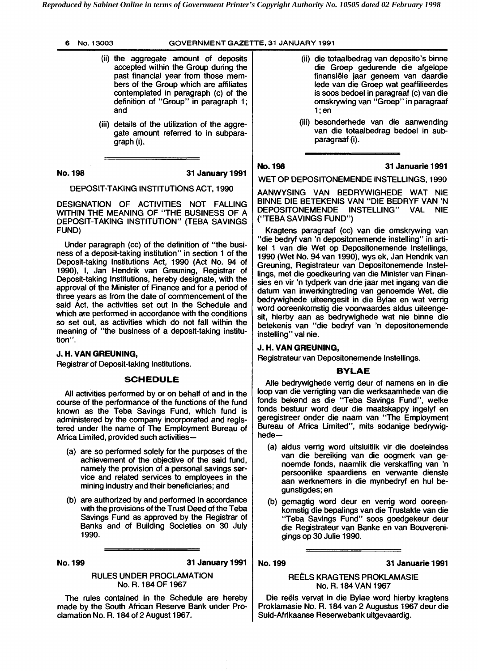- (ii) the aggregate amount of deposits accepted within the Group during the past financial year from those members of the Group which are affiliates contemplated in paragraph (c) of the definition of "Group" in paragraph 1; and
- (iii) details of the utilization of the aggregate amount referred to in subparagraph (i).

**No. 198 31 Januav 1991** 

DEPOSIT-TAKING INSTITUTIONS ACT, 1990

DESIGNATION OF ACTIVITIES NOT FALLING WITHIN THE MEANING OF "THE BUSINESS OF A DEPOSIT-TAKING INSTITUTION" (TEBA SAVINGS FUND)

Under paragraph (cc) of the definition of "the business of a deposit-taking institution" in section 1 of the Deposit-taking Institutions Act, 1990 (Act No. 94 of 1990), 1, Jan Hendrik van Greuning, Registrar of Deposit-taking Institutions, hereby designate, with the approval of the Minister of Finance and for a period of three years as from the date of commencement of the said Act, the activities set out in the Schedule and which are performed in accordance with the conditions so set out, as activities which do not fall within the meaning of "the business of a deposit-taking institution''.

#### **J. H. VAN GREUNING,**

Registrar of Deposit-taking Institutions.

#### **SCHEDULE**

All activities performed by or on behalf of and in the course of the performance of the functions of the fund known as the Teba Savings Fund, which fund is administered by the company incorporated and registered under the name of The Employment Bureau of Africa Limited, provided such activities-

- (a) are so performed solely for the purposes of the achievement of the objective of the said fund, namely the provision of a personal savings service and related services to employees in the mining industry and their beneficiaries; and
- (b) are authorized by and performed in accordance with the provisions of the Trust Deed of the Teba Savings Fund as approved by the Registrar of Banks and of Building Societies on 30 July 1990.

**No. 199 31 January 1991** 

#### RULES UNDER PROCLAMATION No. R. 184 OF 1967

The rules contained in the Schedule are hereby made by the South African Reserve Bank under Proclamation No. R. 184 of 2 August 1967.

- (ii) die totaalbedrag van deposito's binne die Groep gedurende die afgelope finansiele jaar geneem van daardie lede van die Groep wat geaffilieerdes is soos bedoel in paragraaf (c) van die omskrywing van "Groep" in paragraaf  $1$ ; en
- (iii) besonderhede van die aanwending van die totaalbedrag bedoel in subparagraaf (i).

**No. 198 31 Januarie 1991** 

WET OP DEPOSITONEMENDE INSTELLINGS, 1990

AANWYSING VAN BEDRYWIGHEDE WAT NIE BlNNE DIE BETEKENIS VAN "DIE BEDRYF VAN 'N DEPOSITONEMENDE INSTELLING" VAL NIE ("TEBA SAVINGS FUND")

Kragtens paragraaf (cc) van die omskrywing van "die bedryf van 'n depositonemende instelling" in artikel 1 van die Wet op Depositonemende Instellings, 1990 (Wet No. 94 van 1990), wys ek, Jan Hendrik van Greuning, Registrateur van Depositonemende Instellings, met die goedkeuring van die Minister van Finansies en vir 'n tydperk van drie jaar met ingang van die datum van inwerkingtreding van genoemde Wet, die bedrywighede uiteengesit in die Bylae en wat verrig word ooreenkomstig die voorwaardes aldus uiteengesit, hierby aan as bedrywighede wat nie binne die betekenis van "die bedryf van 'n depositonemende instelling" val nie.

#### **J. H. VAN GREUNING,**

Registrateur van Depositonemende Instellings.

#### **BYLAE**

Alle bedrywighede verrig deur of namens en in die loop van die verrigting van die werksaamhede van die fonds bekend as die "Teba Savings Fund", welke fonds bestuur word deur die maatskappy ingelyf en geregistreer onder die naam van "The Employment Bureau of Africa Limited", mits sodanige bedrywighede-

- (a) aldus verrig word uitsluitlik vir die doeleindes van die bereiking van die oogmerk van genoemde fonds, naamlik die verskaffing van 'n persoonlike spaardiens en verwante dienste aan werknemers in die mynbedryf en hul begunstigdes; en
- (b) gemagtig word deur en verrig word ooreenkomstig die bepalings van die Trustakte van die "Teba Savings Fund" soos goedgekeur deur die Registrateur van Banke en van Bouverenigings **op** 30 Julie 1990.

#### **No. 199 31 Januarie 1991**

#### REELS KRAGTENS PROKLAMASIE No. R. 184 VAN 1967

Die reëls vervat in die Bylae word hierby kragtens Proklamasie No. R. 184 van 2 Augustus 1967 deur die Suid-Afrikaanse Reserwebank uitgevaardig .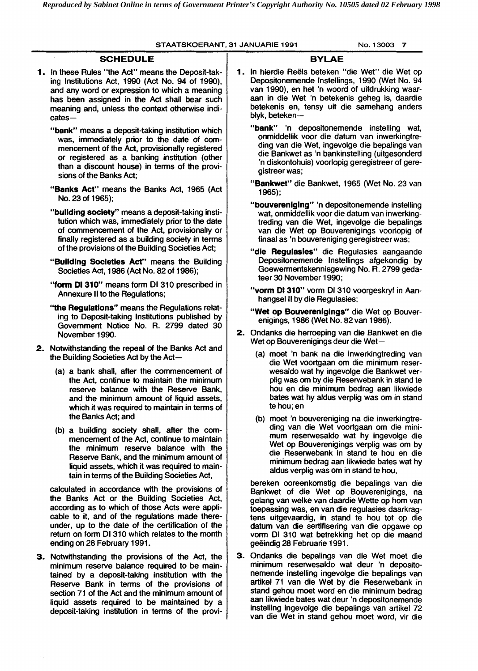### **STAATSKOERANT, 31 JANUARIE 1991 No. 13003 7**

|  | <b>SCHEDULE</b>                                                                                                                                                                                                                                                                                                                                                                                                                                                                                                                                                                                                                                                                                                                                                                                                                                                                                                                                                 |                                                                                                                                                                                                                                                                                                                                                            | <b>BYLAE</b>                                                                                                                                                                                                                                                                                                                                                                |                                                                                                                                                                                                                                                                                                                                                                                                      |  |  |                                                                                                                                                                                                                                                                                |
|--|-----------------------------------------------------------------------------------------------------------------------------------------------------------------------------------------------------------------------------------------------------------------------------------------------------------------------------------------------------------------------------------------------------------------------------------------------------------------------------------------------------------------------------------------------------------------------------------------------------------------------------------------------------------------------------------------------------------------------------------------------------------------------------------------------------------------------------------------------------------------------------------------------------------------------------------------------------------------|------------------------------------------------------------------------------------------------------------------------------------------------------------------------------------------------------------------------------------------------------------------------------------------------------------------------------------------------------------|-----------------------------------------------------------------------------------------------------------------------------------------------------------------------------------------------------------------------------------------------------------------------------------------------------------------------------------------------------------------------------|------------------------------------------------------------------------------------------------------------------------------------------------------------------------------------------------------------------------------------------------------------------------------------------------------------------------------------------------------------------------------------------------------|--|--|--------------------------------------------------------------------------------------------------------------------------------------------------------------------------------------------------------------------------------------------------------------------------------|
|  | 1. In these Rules "the Act" means the Deposit-tak-<br>ing Institutions Act, 1990 (Act No. 94 of 1990),<br>and any word or expression to which a meaning<br>has been assigned in the Act shall bear such<br>meaning and, unless the context otherwise indi-<br>$cates-$                                                                                                                                                                                                                                                                                                                                                                                                                                                                                                                                                                                                                                                                                          |                                                                                                                                                                                                                                                                                                                                                            | 1. In hierdie Reëls beteken "die Wet" die Wet op<br>Depositonemende Instellings, 1990 (Wet No. 94<br>van 1990), en het 'n woord of uitdrukking waar-<br>aan in die Wet 'n betekenis geheg is, daardie<br>betekenis en, tensy uit die samehang anders<br>blyk, beteken-                                                                                                      |                                                                                                                                                                                                                                                                                                                                                                                                      |  |  |                                                                                                                                                                                                                                                                                |
|  | "bank" means a deposit-taking institution which<br>was, immediately prior to the date of com-<br>mencement of the Act, provisionally registered<br>or registered as a banking institution (other<br>than a discount house) in terms of the provi-<br>sions of the Banks Act:<br>"Banks Act" means the Banks Act, 1965 (Act<br>No. 23 of 1965);<br>"building society" means a deposit-taking insti-<br>tution which was, immediately prior to the date<br>of commencement of the Act, provisionally or<br>finally registered as a building society in terms<br>of the provisions of the Building Societies Act;<br>"Building Societies Act" means the Building<br>Societies Act, 1986 (Act No. 82 of 1986);<br>"form DI 310" means form DI 310 prescribed in<br>Annexure II to the Regulations;<br>"the Regulations" means the Regulations relat-<br>ing to Deposit-taking Institutions published by<br>Government Notice No. R. 2799 dated 30<br>November 1990. |                                                                                                                                                                                                                                                                                                                                                            | "bank" 'n depositonemende instelling wat,<br>onmiddellik voor die datum van inwerkingtre-<br>ding van die Wet, ingevolge die bepalings van<br>die Bankwet as 'n bankinstelling (uitgesonderd<br>'n diskontohuis) voorlopig geregistreer of gere-<br>gistreer was;                                                                                                           |                                                                                                                                                                                                                                                                                                                                                                                                      |  |  |                                                                                                                                                                                                                                                                                |
|  |                                                                                                                                                                                                                                                                                                                                                                                                                                                                                                                                                                                                                                                                                                                                                                                                                                                                                                                                                                 |                                                                                                                                                                                                                                                                                                                                                            | "Bankwet" die Bankwet, 1965 (Wet No. 23 van<br>$1965$ ;                                                                                                                                                                                                                                                                                                                     |                                                                                                                                                                                                                                                                                                                                                                                                      |  |  |                                                                                                                                                                                                                                                                                |
|  |                                                                                                                                                                                                                                                                                                                                                                                                                                                                                                                                                                                                                                                                                                                                                                                                                                                                                                                                                                 |                                                                                                                                                                                                                                                                                                                                                            | "bouvereniging" 'n depositonemende instelling<br>wat, onmiddellik voor die datum van inwerking-<br>treding van die Wet, ingevolge die bepalings<br>van die Wet op Bouverenigings voorlopig of<br>finaal as 'n bouvereniging geregistreer was;<br>"die Regulasies" die Regulasies aangaande                                                                                  |                                                                                                                                                                                                                                                                                                                                                                                                      |  |  |                                                                                                                                                                                                                                                                                |
|  |                                                                                                                                                                                                                                                                                                                                                                                                                                                                                                                                                                                                                                                                                                                                                                                                                                                                                                                                                                 |                                                                                                                                                                                                                                                                                                                                                            | Depositonemende Instellings afgekondig by<br>Goewermentskennisgewing No. R. 2799 geda-<br>teer 30 November 1990;                                                                                                                                                                                                                                                            |                                                                                                                                                                                                                                                                                                                                                                                                      |  |  |                                                                                                                                                                                                                                                                                |
|  |                                                                                                                                                                                                                                                                                                                                                                                                                                                                                                                                                                                                                                                                                                                                                                                                                                                                                                                                                                 |                                                                                                                                                                                                                                                                                                                                                            | "vorm DI 310" vorm DI 310 voorgeskryf in Aan-<br>hangsel II by die Regulasies;<br>"Wet op Bouverenigings" die Wet op Bouver-<br>enigings, 1986 (Wet No. 82 van 1986).<br>2. Ondanks die herroeping van die Bankwet en die                                                                                                                                                   |                                                                                                                                                                                                                                                                                                                                                                                                      |  |  |                                                                                                                                                                                                                                                                                |
|  |                                                                                                                                                                                                                                                                                                                                                                                                                                                                                                                                                                                                                                                                                                                                                                                                                                                                                                                                                                 |                                                                                                                                                                                                                                                                                                                                                            |                                                                                                                                                                                                                                                                                                                                                                             |                                                                                                                                                                                                                                                                                                                                                                                                      |  |  | 2. Notwithstanding the repeal of the Banks Act and<br>the Building Societies Act by the Act-<br>(a) a bank shall, after the commencement of<br>the Act, continue to maintain the minimum<br>reserve balance with the Reserve Bank,<br>and the minimum amount of liquid assets, |
|  | which it was required to maintain in terms of<br>the Banks Act; and<br>(b) a building society shall, after the com-<br>mencement of the Act, continue to maintain<br>the minimum reserve balance with the<br>Reserve Bank, and the minimum amount of<br>liquid assets, which it was required to main-<br>tain in terms of the Building Societies Act,                                                                                                                                                                                                                                                                                                                                                                                                                                                                                                                                                                                                           |                                                                                                                                                                                                                                                                                                                                                            | te hou; en<br>(b) moet 'n bouvereniging na die inwerkingtre-<br>ding van die Wet voortgaan om die mini-<br>mum reserwesaldo wat hy ingevolge die<br>Wet op Bouverenigings verplig was om by<br>die Reserwebank in stand te hou en die<br>minimum bedrag aan likwiede bates wat hy<br>aldus verplig was om in stand te hou,                                                  |                                                                                                                                                                                                                                                                                                                                                                                                      |  |  |                                                                                                                                                                                                                                                                                |
|  | calculated in accordance with the provisions of<br>the Banks Act or the Building Societies Act,<br>according as to which of those Acts were appli-<br>cable to it, and of the regulations made there-<br>under, up to the date of the certification of the<br>return on form DI 310 which relates to the month<br>ending on 28 February 1991.                                                                                                                                                                                                                                                                                                                                                                                                                                                                                                                                                                                                                   |                                                                                                                                                                                                                                                                                                                                                            | bereken ooreenkomstig die bepalings van die<br>Bankwet of die Wet op Bouverenigings, na<br>gelang van welke van daardie Wette op hom van<br>toepassing was, en van die regulasies daarkrag-<br>tens uitgevaardig, in stand te hou tot op die<br>datum van die sertifisering van die opgawe op<br>vorm DI 310 wat betrekking het op die maand<br>geëindig 28 Februarie 1991. |                                                                                                                                                                                                                                                                                                                                                                                                      |  |  |                                                                                                                                                                                                                                                                                |
|  |                                                                                                                                                                                                                                                                                                                                                                                                                                                                                                                                                                                                                                                                                                                                                                                                                                                                                                                                                                 | 3. Notwithstanding the provisions of the Act, the<br>minimum reserve balance required to be main-<br>tained by a deposit-taking institution with the<br>Reserve Bank in terms of the provisions of<br>section 71 of the Act and the minimum amount of<br>liquid assets required to be maintained by a<br>deposit-taking institution in terms of the provi- |                                                                                                                                                                                                                                                                                                                                                                             | 3. Ondanks die bepalings van die Wet moet die<br>minimum reserwesaldo wat deur 'n deposito-<br>nemende instelling ingevolge die bepalings van<br>artikel 71 van die Wet by die Reserwebank in<br>stand gehou moet word en die minimum bedrag<br>aan likwiede bates wat deur 'n depositonemende<br>instelling ingevolge die bepalings van artikel 72<br>van die Wet in stand gehou moet word, vir die |  |  |                                                                                                                                                                                                                                                                                |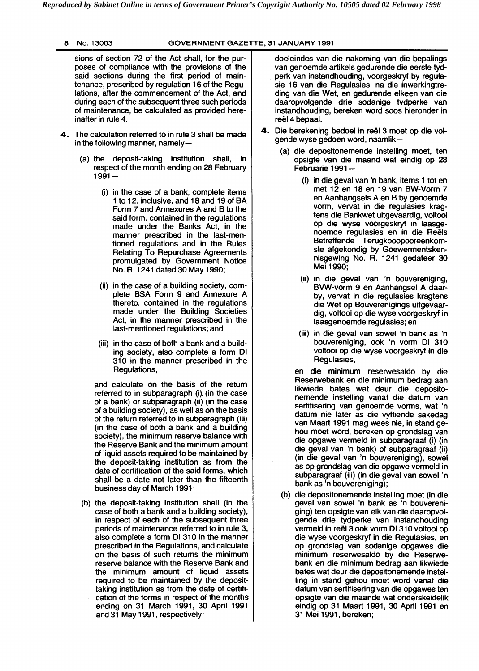sions of section 72 of the Act shall, for the purposes of compliance with the provisions of the said sections during the first period of maintenance, prescribed by regulation 16 of the Regulations, after the commencement of the Act, and during each of the subsequent three such periods of maintenance, be calculated as provided hereinafter in rule 4.

- **.4.** The calculation referred to in rule 3 shall be made in the following manner, namely-
	- (a) the deposit-taking institution shall, in respect of the month ending on 28 February<br>1991 —
		- (i) in the case of a bank, complete items 1 to 12, inclusive, and 18 and 19 of BA Form 7 and Annexures A and B to the said form, contained in the regulations made under the Banks Act, in the manner prescribed in the last-mentioned regulations and in the Rules Relating To Repurchase Agreements promulgated by Government Notice No. R. 1241 dated 30 May 1990;
		- (ii) in the case of a building society, complete BSA Form 9 and Annexure A thereto, contained in the regulations made under the Building Societies Act, in the manner prescribed in the last-mentioned regulations; and
		- (iii) in the case of both a bank and a building society, also complete a form Dl 310 in the manner prescribed in the Regulations,

and calculate on the basis of the return referred to in subparagraph (i). (in the case of a bank) or subparagraph (ii) (in the case of a building society), as well as on the basis of the return referred to in subparagraph (iii) (in the case of both a bank and a building society), the minimum reserve balance with the Reserve Bank and the minimum amount of liquid assets required to be maintained by the deposit-taking institution as from the date of certification of the said forms, which shall be a date not later than the fifteenth business day of March 1991 ;

(b) the deposit-taking institution shall (in the case of both a bank and a building society), in respect of each of the subsequent three periods of maintenance referred to in rule 3, also complete a form Dl 310 in the manner prescribed in the Regulations, and calculate on the basis of such returns the minimum reserve balance with the Reserve Bank and the minimum amount of liquid assets required to be maintained by the deposittaking institution as from the date of certification of the forms in respect of the months ending on 31 March 1991, 30 April 1991 and 31 May 1991, respectively;

doeleindes van die nakoming van die bepalings van genoemde artikels gedurende die eerste tydperk van instandhouding, voorgeskryf by regulasie 16 van die Regulasies, na die inwerkingtreding van die Wet, en gedurende elkeen van die daaropvolgende drie sodanige tydperke van instandhouding, bereken word soos hieronder in reël 4 bepaal.

- 4. Die berekening bedoel in reël 3 moet op die volgende wyse gedoen word, naamlik-
	- (a) die depositonemende instelling moet, ten opsigte van die maand wat eindig op 28 Februarie 1991 -
		- (i) in die geval van 'n bank, items 1 tot en met 12 en 18 en 19 van BW-Vorm 7 en Aanhangsels A en B by genoemde vorm, vervat in die regulasies kragtens die Bankwet uitgevaardig, voltooi op die wyse voorgeskryf in laasgenoemde regulasies en in die Reëls Betreffende Terugkooopooreenkomste afgekondig by Goewermentskennisgewing No. R. 1241 gedateer 30 Mei 1990;
		- (ii) in die geval van 'n bouvereniging, BW-vorm 9 en Aanhangsel A daarby, vervat in die regulasies kragtens die Wet op Bouverenigings uitgevaardig, voltooi op die wyse voorgeskryf in laasgenoemde regulasies; en
		- (iii) in die geval van sowel 'n bank as 'n bouvereniging, ook 'n vorm Dl 310 voltooi op die wyse voorgeskryf in die Regulasies,

en die minimum reserwesaldo by die Reserwebank en die minimum bedrag aan likwiede bates wat deur die depositonemende instelling vanaf die datum van sertifisering van genoemde vorms, wat 'n datum nie later as die vyftiende sakedag van Maart 1991 mag wees nie, in stand gehou moet word, bereken op grondslag van die opgawe vermeld in subparagraaf (i) (in die geval van 'n bank) of subparagraaf (ii) (in die geval van 'n bouvereniging), sowel as op grondslag van die opgawe vermeld in subparagraaf (iii) (in die geval van sowel 'n bank as 'n bouvereniging);

(b) die depositonemende instelling moet (in die geval van sowel 'n bank as 'n bouvereniging) ten opsigte van elk van die daaropvolgende drie tydperke van instandhouding vermeld in reël 3 ook vorm DI 310 voltooi op die wyse voorgeskryf in die Regulasies, en op grondslag van sodanige opgawes die minimum reserwesaldo by die Reserwebank en die minimum bedrag aan likwiede bates wat deur die depositonemende instelling in stand gehou moet word vanaf die datum van sertifisering van die opgawes ten opsigte van die maande wat onderskeidelik eindig op 31 Maart 1991, 30 April 1991 en 31 Mei 1991, bereken;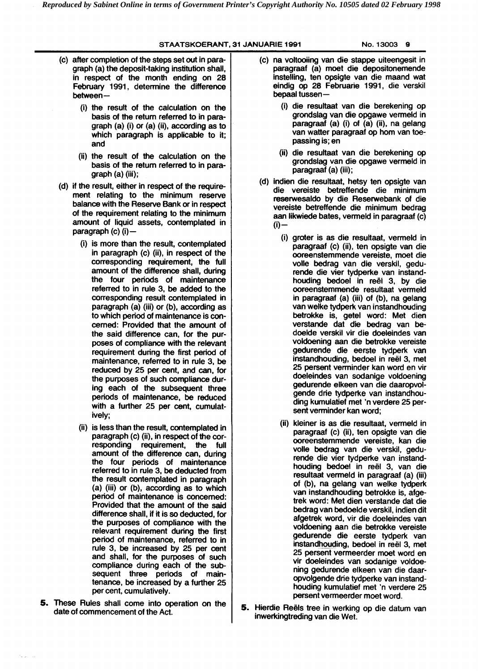#### **STAATSKOERANT, 31 JANUARIE 1991 No. 13003 9**

- (c) after completion of the steps set out in paragraph (a) the deposit-taking institution shall, in respect of the month ending on **28**  February 1991, determine the difference<br>between-
	- (i) the result of the calculation on the basis of the return referred to in paragraph (a) (i) or (a) (ii), according as to which paragraph is applicable to it; and
	- (ii) the result of the calculation on the basis of the return referred to in paragraph (a) (iii);
- (d) if the result, either in respect of the requirement relating to the minimum reserve balance with the Reserve Bank or in respect of the requirement relating to the minimum amount of liquid assets, contemplated in paragraph (c) (i)-
	- (i) is more than the result, contemplated in paragraph (c) (ii), in respect of the corresponding requirement, the full amount of the difference shall, during the four periods of maintenance referred to in rule 3, be added to the corresponding result contemplated in paragraph (a) (iii) or (b), according as to which period of maintenance is concerned: Provided that the amount of the said difference can, for the purposes of compliance with the relevant requirement during the first period of maintenance, referred to in rule 3, be reduced by **25** per cent, and can, for the purposes of such compliance during each of the subsequent three periods of maintenance, be reduced with a further **25** per cent, cumulatively;
	- (ii) is less than the result, contemplated in paragraph (c) (ii), in respect of the corresponding requirement, the full amount of the difference can, during the four periods of maintenance referred to in rule 3, be deducted from the result contemplated in paragraph (a) (iii) or (b), according as to which period of maintenance is concerned: Provided that the amount of the said difference shall, if it is so deducted, for the purposes of compliance with the relevant requirement during the first period of maintenance, referred to in rule 3, be increased by **25** per cent and shall, for the purposes of such compliance during each of the subsequent three periods of maintenance, be increased by a further **25**  per cent, cumulatively.
- 5. These Rules shall come into operation on the date of commencement of the Act.
- (c) na voltooiing van die stappe uiteengesit in paragraaf (a) moet die depositonemende instelling, ten opsigte van die maand wat eindig op **28** Februarie **1991,** die verskil bepaal tussen-
	- (i) die resultaat van die berekening op grondslag van die opgawe vermeld in paragraaf (a) (i) of (a) (ii), na gelang van watter paragraaf op hom van toepassing is; en
	- (ii) die resultaat van die berekening op grondslag van die opgawe vermeld in paragraaf (a) (iii) ;
- (d) indien die resultaat, hetsy ten opsigte van die vereiste betreffende die minimum reserwesaldo by die Reserwebank of die vereiste betreffende die minimum bedrag aan likwiede bates, verrneld in paragraaf (c)  $(i)$ 
	- (i) groter is as die resultaat, vermeld in paragraaf (c) (ii), ten opsigte van die ooreenstemmende vereiste, moet die volle bedrag van die verskil, gedurende die vier tydperke van instandhouding bedoel in reël 3, by die ooreenstemmende resultaat vermeld in paragraaf (a) (iii) of (b), na gelang van welke tydperk van instandhouding betrokke is, getel word: Met dien verstande dat die bedrag van bedoelde verskil vir die doeleindes van voldoening aan die betrokke vereiste gedurende die eerste tydperk van instandhouding, bedoel in reël 3, met **25** persent verminder kan word en vir doeleindes van sodanige voldoening gedurende elkeen van die daaropvolgende drie tydperke van instandhouding kumulatief met 'n verdere **25** persent verminder kan word;
	- (ii) kleiner is as die resultaat, vermeld in paragraaf (c) (ii), ten opsigte van die ooreenstemmende vereiste, kan die volle bedrag van die verskil, gedurende die vier tydperke van instandhouding bedoel in reël 3, van die resultaat vermeld in paragraaf (a) (iii) of (b), na gelang van welke tydperk van instandhouding betrokke is, afgetrek word: Met dien verstande dat die bedrag van bedoelde verskil, indien dit afgetrek word, vir die doeleindes van voldoening aan die betrokke vereiste gedurende die eerste tydperk van instandhouding, bedoel in reël 3, met 25 persent vermeerder moet word en vir doeleindes van sodanige voldoening gedurende elkeen van die daaropvolgende drie tydperke van instandhouding kumulatief met 'n verdere **25**  persent vermeerder moet word.
- 5. Hierdie Reëls tree in werking op die datum van inwerkingtreding van die Wet.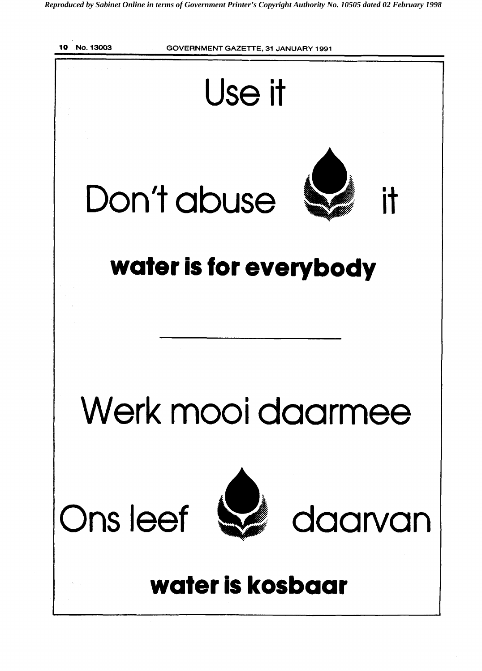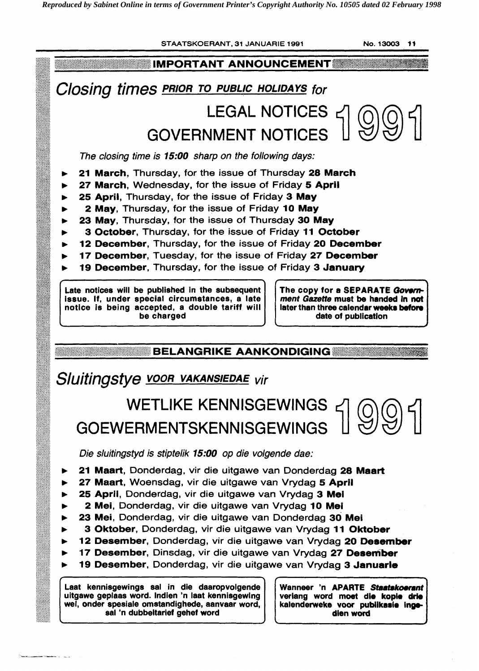

Laat kennisgewings sal in die daaropvolgende uitgawe geplaas word. lndien 'n laat kennisgewing wet, onder spesiale omstandighede, aanvaar word, sal 'n dubbeltarief gehef word

...

verlang word moet die kople drie kalenderweke voor publikasie ingedlen word